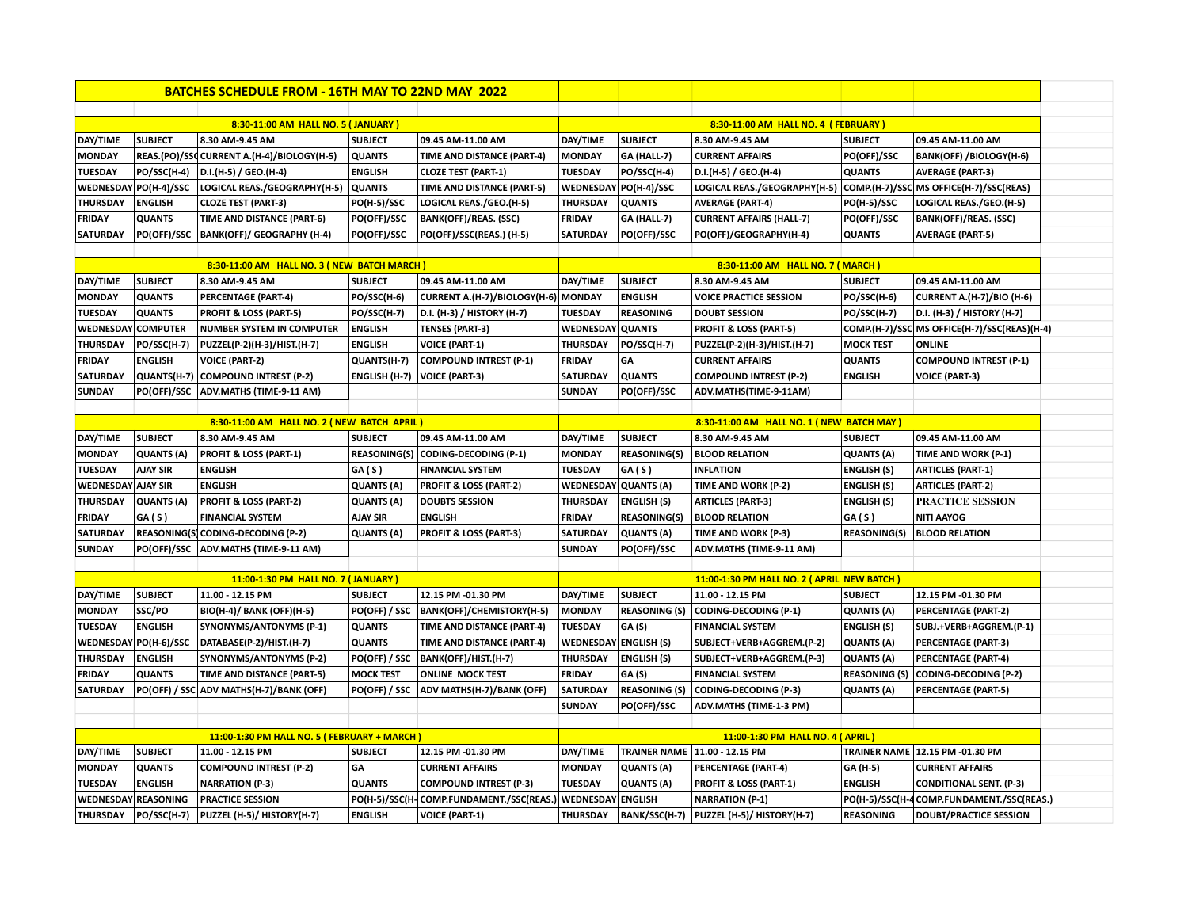|                                                                                 |                       | <b>BATCHES SCHEDULE FROM - 16TH MAY TO 22ND MAY 2022</b> |                     |                                                             |                         |                       |                                                                      |                      |                                              |
|---------------------------------------------------------------------------------|-----------------------|----------------------------------------------------------|---------------------|-------------------------------------------------------------|-------------------------|-----------------------|----------------------------------------------------------------------|----------------------|----------------------------------------------|
|                                                                                 |                       |                                                          |                     |                                                             |                         |                       |                                                                      |                      |                                              |
|                                                                                 |                       | 8:30-11:00 AM HALL NO. 5 (JANUARY)                       |                     |                                                             |                         |                       | 8:30-11:00 AM HALL NO. 4 (FEBRUARY)                                  |                      |                                              |
| DAY/TIME                                                                        | <b>SUBJECT</b>        | 8.30 AM-9.45 AM                                          | <b>SUBJECT</b>      | 09.45 AM-11.00 AM                                           | DAY/TIME                | <b>SUBJECT</b>        | 8.30 AM-9.45 AM                                                      | <b>SUBJECT</b>       | 09.45 AM-11.00 AM                            |
| <b>MONDAY</b>                                                                   |                       | REAS.(PO)/SSC CURRENT A.(H-4)/BIOLOGY(H-5)               | <b>QUANTS</b>       | TIME AND DISTANCE (PART-4)                                  | <b>MONDAY</b>           | GA (HALL-7)           | <b>CURRENT AFFAIRS</b>                                               | PO(OFF)/SSC          | <b>BANK(OFF) /BIOLOGY(H-6)</b>               |
| <b>TUESDAY</b>                                                                  | PO/SSC(H-4)           | D.I.(H-5) / GEO.(H-4)                                    | <b>ENGLISH</b>      | <b>CLOZE TEST (PART-1)</b>                                  | <b>TUESDAY</b>          | PO/SSC(H-4)           | D.I.(H-5) / GEO.(H-4)                                                | <b>QUANTS</b>        | <b>AVERAGE (PART-3)</b>                      |
|                                                                                 | WEDNESDAY PO(H-4)/SSC | LOGICAL REAS./GEOGRAPHY(H-5) QUANTS                      |                     | TIME AND DISTANCE (PART-5)                                  |                         | WEDNESDAY PO(H-4)/SSC | LOGICAL REAS./GEOGRAPHY(H-5) COMP.(H-7)/SSC MS OFFICE(H-7)/SSC(REAS) |                      |                                              |
| <b>THURSDAY</b>                                                                 | <b>ENGLISH</b>        | <b>CLOZE TEST (PART-3)</b>                               | PO(H-5)/SSC         | LOGICAL REAS./GEO.(H-5)                                     | <b>THURSDAY</b>         | <b>QUANTS</b>         | <b>AVERAGE (PART-4)</b>                                              | PO(H-5)/SSC          | LOGICAL REAS./GEO.(H-5)                      |
| <b>FRIDAY</b>                                                                   | <b>QUANTS</b>         | TIME AND DISTANCE (PART-6)                               | PO(OFF)/SSC         | <b>BANK(OFF)/REAS. (SSC)</b>                                | <b>FRIDAY</b>           | GA (HALL-7)           | <b>CURRENT AFFAIRS (HALL-7)</b>                                      | PO(OFF)/SSC          | <b>BANK(OFF)/REAS. (SSC)</b>                 |
| SATURDAY                                                                        | <b>PO(OFF)/SSC</b>    | BANK(OFF)/ GEOGRAPHY (H-4)                               | PO(OFF)/SSC         | PO(OFF)/SSC(REAS.) (H-5)                                    | SATURDAY                | <b>PO(OFF)/SSC</b>    | PO(OFF)/GEOGRAPHY(H-4)                                               | <b>QUANTS</b>        | <b>AVERAGE (PART-5)</b>                      |
|                                                                                 |                       |                                                          |                     |                                                             |                         |                       |                                                                      |                      |                                              |
|                                                                                 |                       | 8:30-11:00 AM HALL NO. 3 (NEW BATCH MARCH)               |                     |                                                             |                         |                       | 8:30-11:00 AM HALL NO. 7 (MARCH)                                     |                      |                                              |
| DAY/TIME                                                                        | <b>SUBJECT</b>        | 8.30 AM-9.45 AM                                          | <b>SUBJECT</b>      | 09.45 AM-11.00 AM                                           | DAY/TIME                | <b>SUBJECT</b>        | 8.30 AM-9.45 AM                                                      | <b>SUBJECT</b>       | 09.45 AM-11.00 AM                            |
| <b>MONDAY</b>                                                                   | <b>QUANTS</b>         | <b>PERCENTAGE (PART-4)</b>                               | PO/SSC(H-6)         | CURRENT A.(H-7)/BIOLOGY(H-6) MONDAY                         |                         | <b>ENGLISH</b>        | <b>VOICE PRACTICE SESSION</b>                                        | PO/SSC(H-6)          | <b>CURRENT A.(H-7)/BIO (H-6)</b>             |
| TUESDAY                                                                         | <b>QUANTS</b>         | PROFIT & LOSS (PART-5)                                   | PO/SSC(H-7)         | D.I. (H-3) / HISTORY (H-7)                                  | <b>TUESDAY</b>          | <b>REASONING</b>      | <b>DOUBT SESSION</b>                                                 | PO/SSC(H-7)          | D.I. (H-3) / HISTORY (H-7)                   |
| <b>WEDNESDAY COMPUTER</b>                                                       |                       | NUMBER SYSTEM IN COMPUTER                                | <b>ENGLISH</b>      | <b>TENSES (PART-3)</b>                                      | <b>WEDNESDAY QUANTS</b> |                       | PROFIT & LOSS (PART-5)                                               |                      | COMP.(H-7)/SSC MS OFFICE(H-7)/SSC(REAS)(H-4) |
| <b>THURSDAY</b>                                                                 | PO/SSC(H-7)           | PUZZEL(P-2)(H-3)/HIST.(H-7)                              | <b>ENGLISH</b>      | <b>VOICE (PART-1)</b>                                       | <b>THURSDAY</b>         | PO/SSC(H-7)           | PUZZEL(P-2)(H-3)/HIST.(H-7)                                          | <b>MOCK TEST</b>     | <b>ONLINE</b>                                |
| <b>FRIDAY</b>                                                                   | <b>ENGLISH</b>        | <b>VOICE (PART-2)</b>                                    | QUANTS(H-7)         | COMPOUND INTREST (P-1)                                      | <b>FRIDAY</b>           | GA                    | <b>CURRENT AFFAIRS</b>                                               | <b>QUANTS</b>        | <b>COMPOUND INTREST (P-1)</b>                |
| SATURDAY                                                                        |                       | QUANTS(H-7) COMPOUND INTREST (P-2)                       | ENGLISH (H-7)       | <b>VOICE (PART-3)</b>                                       | SATURDAY                | <b>QUANTS</b>         | <b>COMPOUND INTREST (P-2)</b>                                        | <b>ENGLISH</b>       | <b>VOICE (PART-3)</b>                        |
| <b>SUNDAY</b>                                                                   |                       | PO(OFF)/SSC   ADV.MATHS (TIME-9-11 AM)                   |                     |                                                             | <b>SUNDAY</b>           | PO(OFF)/SSC           | ADV.MATHS(TIME-9-11AM)                                               |                      |                                              |
|                                                                                 |                       |                                                          |                     |                                                             |                         |                       |                                                                      |                      |                                              |
|                                                                                 |                       | 8:30-11:00 AM HALL NO. 2 (NEW BATCH APRIL)               |                     |                                                             |                         |                       | 8:30-11:00 AM HALL NO. 1 (NEW BATCH MAY)                             |                      |                                              |
| DAY/TIME                                                                        | <b>SUBJECT</b>        | 8.30 AM-9.45 AM                                          | <b>SUBJECT</b>      | 09.45 AM-11.00 AM                                           | DAY/TIME                | <b>SUBJECT</b>        | 8.30 AM-9.45 AM                                                      | <b>SUBJECT</b>       | 09.45 AM-11.00 AM                            |
| <b>MONDAY</b>                                                                   | <b>QUANTS (A)</b>     | <b>PROFIT &amp; LOSS (PART-1)</b>                        | <b>REASONING(S)</b> | CODING-DECODING (P-1)                                       | <b>MONDAY</b>           | <b>REASONING(S)</b>   | <b>BLOOD RELATION</b>                                                | <b>QUANTS (A)</b>    | TIME AND WORK (P-1)                          |
| <b>TUESDAY</b>                                                                  | <b>AJAY SIR</b>       | <b>ENGLISH</b>                                           | GA(S)               | <b>FINANCIAL SYSTEM</b>                                     | <b>TUESDAY</b>          | GA(S)                 | <b>INFLATION</b>                                                     | <b>ENGLISH (S)</b>   | <b>ARTICLES (PART-1)</b>                     |
| <b>WEDNESDAY AJAY SIR</b>                                                       |                       | <b>ENGLISH</b>                                           | <b>QUANTS (A)</b>   | PROFIT & LOSS (PART-2)                                      |                         | WEDNESDAY QUANTS (A)  | TIME AND WORK (P-2)                                                  | <b>ENGLISH (S)</b>   | <b>ARTICLES (PART-2)</b>                     |
| <b>THURSDAY</b>                                                                 | <b>QUANTS (A)</b>     | <b>PROFIT &amp; LOSS (PART-2)</b>                        | <b>QUANTS (A)</b>   | <b>DOUBTS SESSION</b>                                       | <b>THURSDAY</b>         | <b>ENGLISH (S)</b>    | <b>ARTICLES (PART-3)</b>                                             | <b>ENGLISH (S)</b>   | <b>PRACTICE SESSION</b>                      |
| <b>FRIDAY</b>                                                                   | GA(S)                 | <b>FINANCIAL SYSTEM</b>                                  | <b>AJAY SIR</b>     | <b>ENGLISH</b>                                              | <b>FRIDAY</b>           | <b>REASONING(S)</b>   | <b>BLOOD RELATION</b>                                                | GA(S)                | <b>NITI AAYOG</b>                            |
| SATURDAY                                                                        |                       | REASONING(S) CODING-DECODING (P-2)                       | <b>QUANTS (A)</b>   | <b>PROFIT &amp; LOSS (PART-3)</b>                           | <b>SATURDAY</b>         | <b>QUANTS (A)</b>     | TIME AND WORK (P-3)                                                  | <b>REASONING(S)</b>  | <b>BLOOD RELATION</b>                        |
| <b>SUNDAY</b>                                                                   | PO(OFF)/SSC           | ADV.MATHS (TIME-9-11 AM)                                 |                     |                                                             | <b>SUNDAY</b>           | PO(OFF)/SSC           | ADV.MATHS (TIME-9-11 AM)                                             |                      |                                              |
|                                                                                 |                       |                                                          |                     |                                                             |                         |                       |                                                                      |                      |                                              |
|                                                                                 |                       | 11:00-1:30 PM HALL NO. 7 (JANUARY)                       |                     |                                                             |                         |                       | 11:00-1:30 PM HALL NO. 2 ( APRIL NEW BATCH )                         |                      |                                              |
| DAY/TIME                                                                        | <b>SUBJECT</b>        | 11.00 - 12.15 PM                                         | <b>SUBJECT</b>      | 12.15 PM -01.30 PM                                          | DAY/TIME                | <b>SUBJECT</b>        | 11.00 - 12.15 PM                                                     | <b>SUBJECT</b>       | 12.15 PM -01.30 PM                           |
| <b>MONDAY</b>                                                                   | SSC/PO                | <b>BIO(H-4)/ BANK (OFF)(H-5)</b>                         | PO(OFF) / SSC       | BANK(OFF)/CHEMISTORY(H-5)                                   | <b>MONDAY</b>           | <b>REASONING (S)</b>  | <b>CODING-DECODING (P-1)</b>                                         | <b>QUANTS (A)</b>    | PERCENTAGE (PART-2)                          |
| <b>TUESDAY</b>                                                                  | <b>ENGLISH</b>        | SYNONYMS/ANTONYMS (P-1)                                  | <b>QUANTS</b>       | TIME AND DISTANCE (PART-4)                                  | TUESDAY                 | GA (S)                | <b>FINANCIAL SYSTEM</b>                                              | <b>ENGLISH (S)</b>   | SUBJ.+VERB+AGGREM.(P-1)                      |
|                                                                                 | WEDNESDAY PO(H-6)/SSC | DATABASE(P-2)/HIST.(H-7)                                 | <b>QUANTS</b>       | TIME AND DISTANCE (PART-4)                                  |                         | WEDNESDAY ENGLISH (S) | SUBJECT+VERB+AGGREM.(P-2)                                            | <b>QUANTS (A)</b>    | <b>PERCENTAGE (PART-3)</b>                   |
| <b>THURSDAY</b>                                                                 | <b>ENGLISH</b>        | SYNONYMS/ANTONYMS (P-2)                                  | PO(OFF) / SSC       | BANK(OFF)/HIST.(H-7)                                        | <b>THURSDAY</b>         | <b>ENGLISH (S)</b>    | SUBJECT+VERB+AGGREM.(P-3)                                            | <b>QUANTS (A)</b>    | <b>PERCENTAGE (PART-4)</b>                   |
| <b>FRIDAY</b>                                                                   | <b>QUANTS</b>         | TIME AND DISTANCE (PART-5)                               | <b>MOCK TEST</b>    | <b>ONLINE MOCK TEST</b>                                     | <b>FRIDAY</b>           | <b>GA (S)</b>         | <b>FINANCIAL SYSTEM</b>                                              | <b>REASONING (S)</b> | CODING-DECODING (P-2)                        |
| <b>SATURDAY</b>                                                                 |                       | PO(OFF) / SSC ADV MATHS(H-7)/BANK (OFF)                  | PO(OFF) / SSC       | ADV MATHS(H-7)/BANK (OFF)                                   | <b>SATURDAY</b>         | <b>REASONING (S)</b>  | <b>CODING-DECODING (P-3)</b>                                         | <b>QUANTS (A)</b>    | <b>PERCENTAGE (PART-5)</b>                   |
|                                                                                 |                       |                                                          |                     |                                                             | <b>SUNDAY</b>           | PO(OFF)/SSC           | ADV.MATHS (TIME-1-3 PM)                                              |                      |                                              |
|                                                                                 |                       |                                                          |                     |                                                             |                         |                       |                                                                      |                      |                                              |
| 11:00-1:30 PM HALL NO. 5 (FEBRUARY + MARCH)<br>11:00-1:30 PM HALL NO. 4 (APRIL) |                       |                                                          |                     |                                                             |                         |                       |                                                                      |                      |                                              |
| DAY/TIME                                                                        | <b>SUBJECT</b>        | 11.00 - 12.15 PM                                         | <b>SUBJECT</b>      | 12.15 PM -01.30 PM                                          | DAY/TIME                |                       | TRAINER NAME   11.00 - 12.15 PM                                      |                      | TRAINER NAME 12.15 PM -01.30 PM              |
| <b>MONDAY</b>                                                                   | <b>QUANTS</b>         | <b>COMPOUND INTREST (P-2)</b>                            | GA                  | <b>CURRENT AFFAIRS</b>                                      | <b>MONDAY</b>           | <b>QUANTS (A)</b>     | <b>PERCENTAGE (PART-4)</b>                                           | GA (H-5)             | <b>CURRENT AFFAIRS</b>                       |
| <b>TUESDAY</b>                                                                  | <b>ENGLISH</b>        | <b>NARRATION (P-3)</b>                                   | <b>QUANTS</b>       | <b>COMPOUND INTREST (P-3)</b>                               | <b>TUESDAY</b>          | <b>QUANTS (A)</b>     | PROFIT & LOSS (PART-1)                                               | <b>ENGLISH</b>       | <b>CONDITIONAL SENT. (P-3)</b>               |
| WEDNESDAY REASONING                                                             |                       | <b>PRACTICE SESSION</b>                                  |                     | PO(H-5)/SSC(H- COMP.FUNDAMENT./SSC(REAS.) WEDNESDAY ENGLISH |                         |                       | <b>NARRATION (P-1)</b>                                               |                      | PO(H-5)/SSC(H-4 COMP.FUNDAMENT./SSC(REAS.)   |
| <b>THURSDAY</b>                                                                 | PO/SSC(H-7)           | PUZZEL (H-5)/ HISTORY(H-7)                               | <b>ENGLISH</b>      | <b>VOICE (PART-1)</b>                                       | <b>THURSDAY</b>         |                       | BANK/SSC(H-7)   PUZZEL (H-5)/ HISTORY(H-7)                           | <b>REASONING</b>     | <b>DOUBT/PRACTICE SESSION</b>                |
|                                                                                 |                       |                                                          |                     |                                                             |                         |                       |                                                                      |                      |                                              |